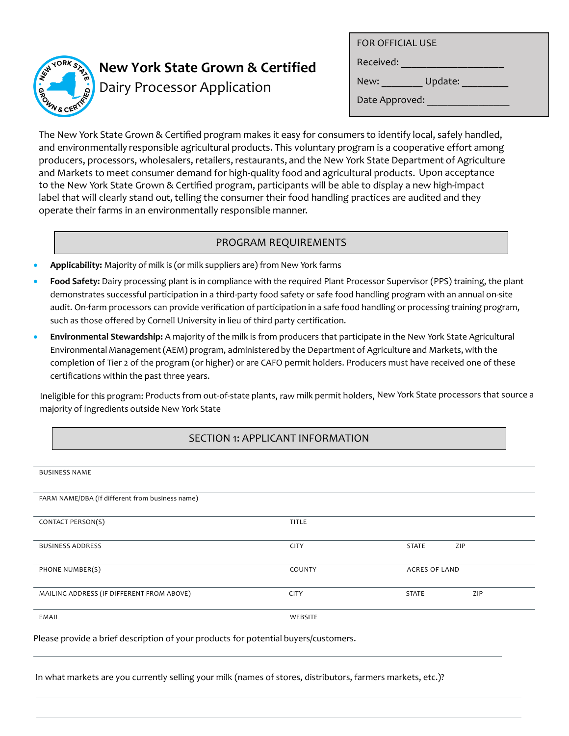

# **New York State Grown & Certified**

Dairy Processor Application

FOR OFFICIAL USE

Received: \_\_\_\_\_\_\_\_\_\_\_\_\_\_\_\_\_\_\_\_

New: \_\_\_\_\_\_\_\_\_\_ Update: \_\_\_\_\_\_\_\_\_\_

Date Approved:

The New York State Grown & Certified program makes it easy for consumers to identify local, safely handled, and environmentally responsible agricultural products. This voluntary program is a cooperative effort among producers, processors, wholesalers, retailers, restaurants, and the New York State Department of Agriculture and Markets to meet consumer demand for high-quality food and agricultural products. Upon acceptance to the New York State Grown & Certified program, participants will be able to display a new high-impact label that will clearly stand out, telling the consumer their food handling practices are audited and they operate their farms in an environmentally responsible manner.

# PROGRAM REQUIREMENTS

- **Applicability:** Majority of milk is (or milk suppliers are) from New York farms
- **Food Safety:** Dairy processing plant is in compliance with the required Plant Processor Supervisor (PPS) training, the plant demonstrates successful participation in a third-party food safety or safe food handling program with an annual on-site audit. On-farm processors can provide verification of participation in a safe food handling or processing training program, such as those offered by Cornell University in lieu of third party certification.
- **Environmental Stewardship:** A majority of the milk is from producers that participate in the New York State Agricultural Environmental Management (AEM) program, administered by the Department of Agriculture and Markets, with the completion of Tier 2 of the program (or higher) or are CAFO permit holders. Producers must have received one of these certifications within the past three years.

Ineligible for this program: Products from out-of-state plants, raw milk permit holders, New York State processors that source a majority of ingredients outside New York State

# SECTION 1: APPLICANT INFORMATION

|  | <b>BUSINESS NAME</b> |  |
|--|----------------------|--|
|--|----------------------|--|

| FARM NAME/DBA (if different from business name) |             |                      |     |
|-------------------------------------------------|-------------|----------------------|-----|
|                                                 |             |                      |     |
| CONTACT PERSON(S)                               | TITLE       |                      |     |
|                                                 |             |                      |     |
| <b>BUSINESS ADDRESS</b>                         | <b>CITY</b> | STATE                | ZIP |
|                                                 |             |                      |     |
|                                                 |             |                      |     |
| PHONE NUMBER(S)                                 | COUNTY      | <b>ACRES OF LAND</b> |     |
|                                                 |             |                      |     |
| MAILING ADDRESS (IF DIFFERENT FROM ABOVE)       | <b>CITY</b> | <b>STATE</b>         | ZIP |
|                                                 |             |                      |     |
| EMAIL                                           | WEBSITE     |                      |     |
|                                                 |             |                      |     |
|                                                 |             |                      |     |

Please provide a brief description of your products for potential buyers/customers.

In what markets are you currently selling your milk (names of stores, distributors, farmers markets, etc.)?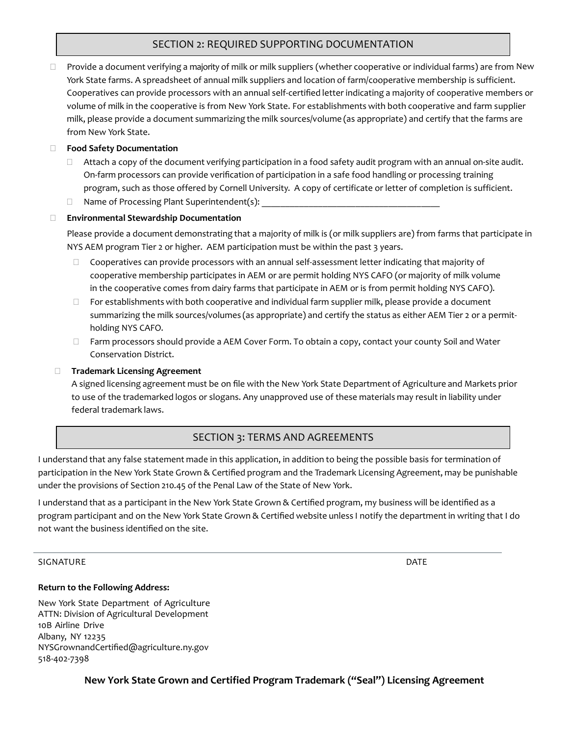## SECTION 2: REQUIRED SUPPORTING DOCUMENTATION

 $\Box$  Provide a document verifying a majority of milk or milk suppliers (whether cooperative or individual farms) are from New York State farms. A spreadsheet of annual milk suppliers and location of farm/cooperative membership is sufficient. Cooperatives can provide processors with an annual self-certified letter indicating a majority of cooperative members or volume of milk in the cooperative is from New York State. For establishments with both cooperative and farm supplier milk, please provide a document summarizing the milk sources/volume (as appropriate) and certify that the farms are from New York State.

#### **Food Safety Documentation**

- $\Box$  Attach a copy of the document verifying participation in a food safety audit program with an annual on-site audit. On-farm processors can provide verification of participation in a safe food handling or processing training program, such as those offered by Cornell University. A copy of certificate or letter of completion is sufficient.
- $\Box$  Name of Processing Plant Superintendent(s):

#### **Environmental Stewardship Documentation**

Please provide a document demonstrating that a majority of milk is (or milk suppliers are) from farms that participate in NYS AEM program Tier 2 or higher. AEM participation must be within the past 3 years.

- $\Box$  Cooperatives can provide processors with an annual self-assessment letter indicating that majority of cooperative membership participates in AEM or are permit holding NYS CAFO (or majority of milk volume in the cooperative comes from dairy farms that participate in AEM or is from permit holding NYS CAFO).
- $\Box$  For establishments with both cooperative and individual farm supplier milk, please provide a document summarizing the milk sources/volumes (as appropriate) and certify the status as either AEM Tier 2 or a permitholding NYS CAFO.
- □ Farm processors should provide a AEM Cover Form. To obtain a copy, contact your county Soil and Water Conservation District.

#### **Trademark Licensing Agreement**

A signed licensing agreement must be on file with the New York State Department of Agriculture and Markets prior to use of the trademarked logos or slogans. Any unapproved use of these materials may result in liability under federal trademark laws.

### SECTION 3: TERMS AND AGREEMENTS

I understand that any false statement made in this application, in addition to being the possible basis for termination of participation in the New York State Grown & Certified program and the Trademark Licensing Agreement, may be punishable under the provisions of Section 210.45 of the Penal Law of the State of New York.

I understand that as a participant in the New York State Grown & Certified program, my business will be identified as a program participant and on the New York State Grown & Certified website unless I notify the departmentin writing that I do not want the business identified on the site.

#### SIGNATURE DATE DATE OF A SERIES OF A SERIES OF A SERIES OF A SERIES OF A SERIES OF A SERIES OF A SERIES OF A S

#### **Return to the Following Address:**

New York State Department of Agriculture ATTN: Division of Agricultural Development 10B Airline Drive Albany, NY 12235 NY[SGrownandCertified@agricultur](mailto:NYSGrownandCertiﬁed@agriculture.ny.gov)e.ny.gov 518-402-7398

**New York State Grown and Certified Program Trademark ("Seal") Licensing Agreement**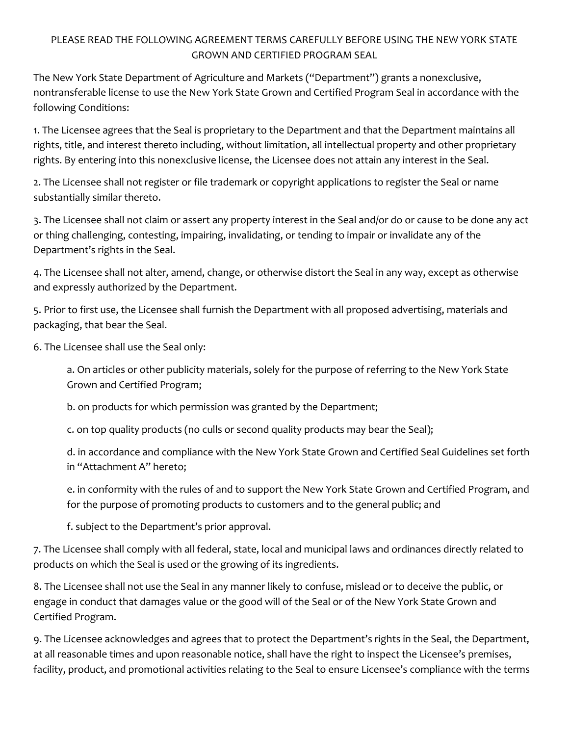# PLEASE READ THE FOLLOWING AGREEMENT TERMS CAREFULLY BEFORE USING THE NEW YORK STATE GROWN AND CERTIFIED PROGRAM SEAL

The New York State Department of Agriculture and Markets ("Department") grants a nonexclusive, nontransferable license to use the New York State Grown and Certified Program Seal in accordance with the following Conditions:

1. The Licensee agrees that the Seal is proprietary to the Department and that the Department maintains all rights, title, and interest thereto including, without limitation, all intellectual property and other proprietary rights. By entering into this nonexclusive license, the Licensee does not attain any interest in the Seal.

2. The Licensee shall not register or file trademark or copyright applications to register the Seal or name substantially similar thereto.

3. The Licensee shall not claim or assert any property interest in the Seal and/or do or cause to be done any act or thing challenging, contesting, impairing, invalidating, or tending to impair or invalidate any of the Department's rights in the Seal.

4. The Licensee shall not alter, amend, change, or otherwise distort the Seal in any way, except as otherwise and expressly authorized by the Department.

5. Prior to first use, the Licensee shall furnish the Department with all proposed advertising, materials and packaging, that bear the Seal.

6. The Licensee shall use the Seal only:

a. On articles or other publicity materials, solely for the purpose of referring to the New York State Grown and Certified Program;

b. on products for which permission was granted by the Department;

c. on top quality products (no culls or second quality products may bear the Seal);

d. in accordance and compliance with the New York State Grown and Certified Seal Guidelines set forth in "Attachment A" hereto;

e. in conformity with the rules of and to support the New York State Grown and Certified Program, and for the purpose of promoting products to customers and to the general public; and

f. subject to the Department's prior approval.

7. The Licensee shall comply with all federal, state, local and municipal laws and ordinances directly related to products on which the Seal is used or the growing of its ingredients.

8. The Licensee shall not use the Seal in any manner likely to confuse, mislead or to deceive the public, or engage in conduct that damages value or the good will of the Seal or of the New York State Grown and Certified Program.

9. The Licensee acknowledges and agrees that to protect the Department's rights in the Seal, the Department, at all reasonable times and upon reasonable notice, shall have the right to inspect the Licensee's premises, facility, product, and promotional activities relating to the Seal to ensure Licensee's compliance with the terms